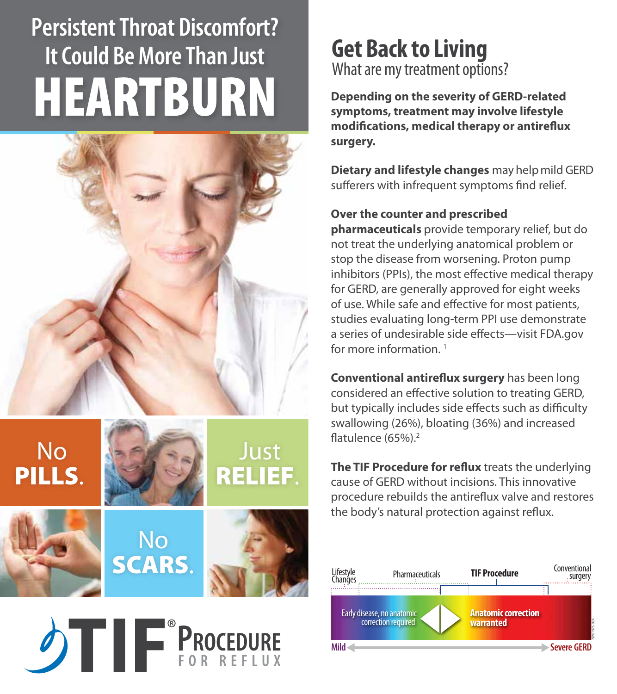# **Persistent Throat Discomfort? It Could Be More Than Just** HEARTBURN





### **Get Back to Living**  What are my treatment options?

**Depending on the severity of GERD-related symptoms, treatment may involve lifestyle modifications, medical therapy or antireflux surgery.**

**Dietary and lifestyle changes** may helpmild GERD sufferers with infrequent symptoms find relief.

#### **Over the counter and prescribed**

**pharmaceuticals** provide temporary relief, but do not treat the underlying anatomical problem or stop the disease from worsening. Proton pump inhibitors (PPIs), the most effective medical therapy for GERD, are generally approved for eight weeks of use. While safe and effective for most patients, studies evaluating long-term PPI use demonstrate a series of undesirable side effects—visit FDA.gov for more information.<sup>1</sup>

**Conventional antireflux surgery** has been long considered an effective solution to treating GERD, but typically includes side effects such as difficulty swallowing (26%), bloating (36%) and increased flatulence (65%).<sup>2</sup>

**The TIF Procedure for reflux** treats the underlying cause of GERD without incisions. This innovative procedure rebuilds the antireflux valve and restores the body's natural protection against reflux.

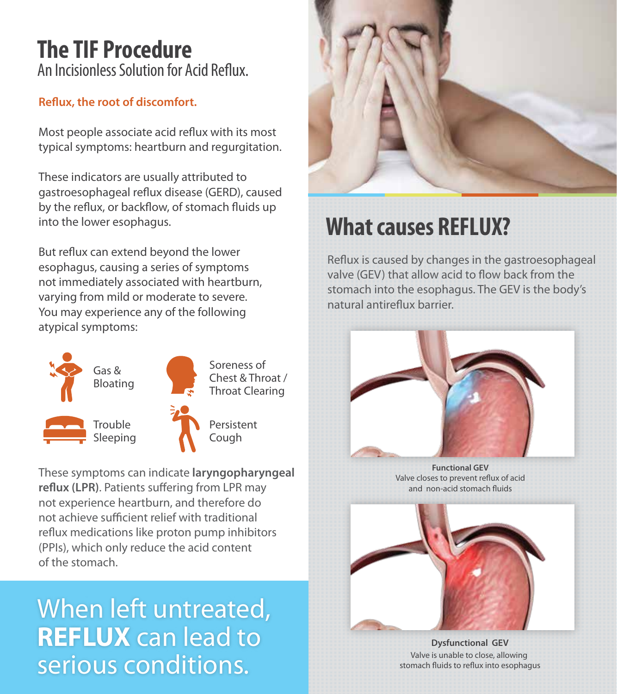### **The TIF Procedure**  An Incisionless Solution for Acid Reflux.

#### **Reflux, the root of discomfort.**

Most people associate acid reflux with its most typical symptoms: heartburn and regurgitation.

These indicators are usually attributed to gastroesophageal reflux disease (GERD), caused by the reflux, or backflow, of stomach fluids up into the lower esophagus.

But reflux can extend beyond the lower esophagus, causing a series of symptoms not immediately associated with heartburn, varying from mild or moderate to severe. You may experience any of the following atypical symptoms:



These symptoms can indicate **laryngopharyngeal reflux (LPR)**. Patients suffering from LPR may not experience heartburn, and therefore do not achieve sufficient relief with traditional reflux medications like proton pump inhibitors (PPIs), which only reduce the acid content of the stomach.

# When left untreated, **REFLUX** can lead to serious conditions.



## **What causes REFLUX?**

Reflux is caused by changes in the gastroesophageal valve (GEV) that allow acid to flow back from the stomach into the esophagus. The GEV is the body's natural antireflux barrier.



**Functional GEV** Valve closes to prevent reflux of acid and non-acid stomach fluids



**Dysfunctional GEV** Valve is unable to close, allowing stomach fluids to reflux into esophagus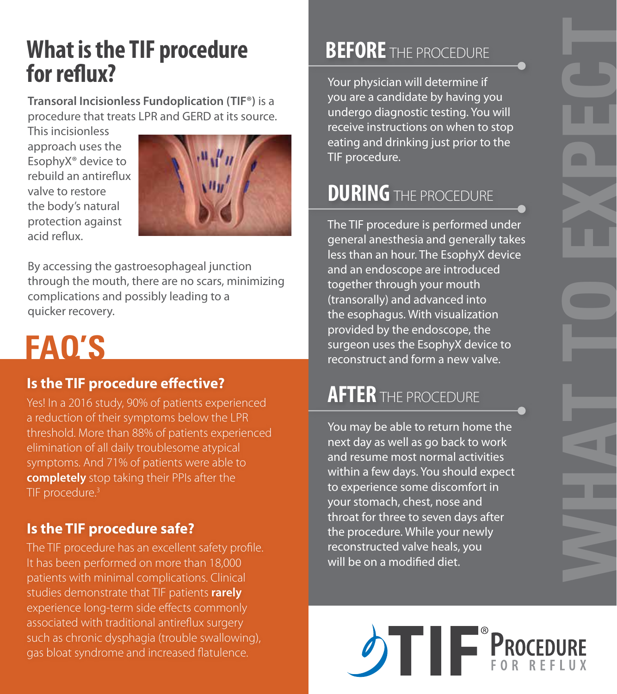## **What is the TIF procedure for reflux?**

**Transoral Incisionless Fundoplication (TIF®)** is a procedure that treats LPR and GERD at its source.

This incisionless approach uses the EsophyX® device to rebuild an antireflux valve to restore the body's natural protection against acid reflux.



By accessing the gastroesophageal junction through the mouth, there are no scars, minimizing complications and possibly leading to a quicker recovery.

# **FAQ'S**

#### **Is the TIF procedure effective?**

Yes! In a 2016 study, 90% of patients experienced a reduction of their symptoms below the LPR threshold. More than 88% of patients experienced elimination of all daily troublesome atypical symptoms. And 71% of patients were able to **completely** stop taking their PPIs after the TIF procedure.<sup>3</sup>

#### **Is the TIF procedure safe?**

The TIF procedure has an excellent safety profile. It has been performed on more than 18,000 patients with minimal complications. Clinical studies demonstrate that TIF patients **rarely**  experience long-term side effects commonly associated with traditional antireflux surgery such as chronic dysphagia (trouble swallowing), gas bloat syndrome and increased flatulence.

## **BEFORE** THE PROCEDURE

Your physician will determine if you are a candidate by having you undergo diagnostic testing. You will receive instructions on when to stop eating and drinking just prior to the TIF procedure.

## **DURING** THE PROCEDURE

The TIF procedure is performed under general anesthesia and generally takes less than an hour. The EsophyX device and an endoscope are introduced together through your mouth (transorally) and advanced into the esophagus. With visualization provided by the endoscope, the surgeon uses the EsophyX device to reconstruct and form a new valve.

## **AFTER** THE PROCEDURE

You may be able to return home the next day as well as go back to work and resume most normal activities within a few days. You should expect to experience some discomfort in your stomach, chest, nose and throat for three to seven days after the procedure. While your newly reconstructed valve heals, you will be on a modified diet.



**WHA**

**T**

**T**

**O**

**EXPE**

**C**